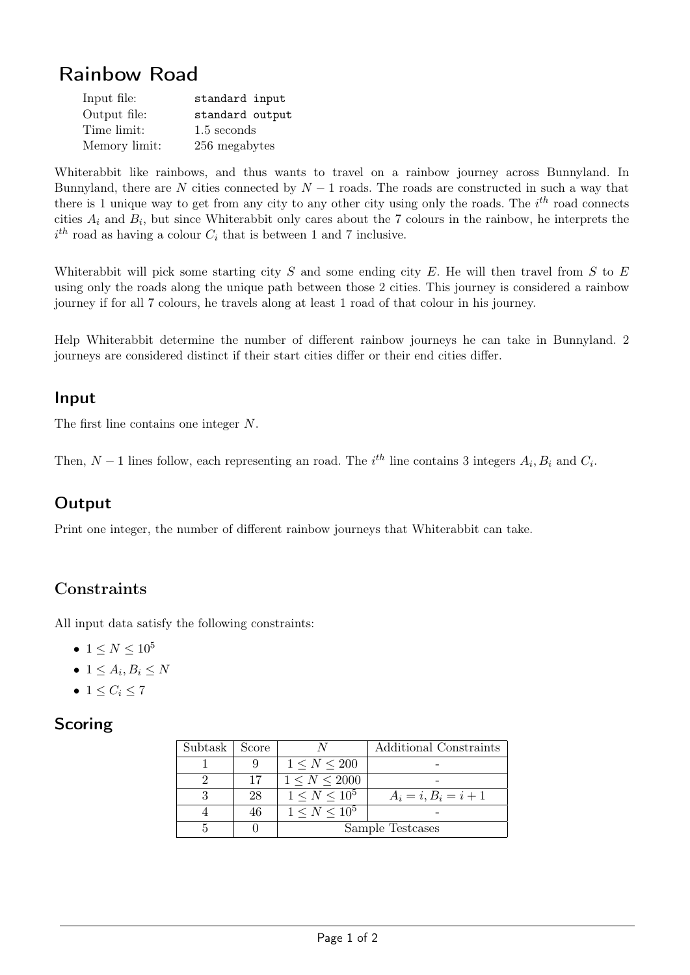# Rainbow Road

| Input file:   | standard input  |
|---------------|-----------------|
| Output file:  | standard output |
| Time limit:   | 1.5 seconds     |
| Memory limit: | 256 megabytes   |

Whiterabbit like rainbows, and thus wants to travel on a rainbow journey across Bunnyland. In Bunnyland, there are N cities connected by  $N-1$  roads. The roads are constructed in such a way that there is 1 unique way to get from any city to any other city using only the roads. The  $i<sup>th</sup>$  road connects cities  $A_i$  and  $B_i$ , but since Whiterabbit only cares about the 7 colours in the rainbow, he interprets the  $i^{th}$  road as having a colour  $C_i$  that is between 1 and 7 inclusive.

Whiterabbit will pick some starting city  $S$  and some ending city  $E$ . He will then travel from  $S$  to  $E$ using only the roads along the unique path between those 2 cities. This journey is considered a rainbow journey if for all 7 colours, he travels along at least 1 road of that colour in his journey.

Help Whiterabbit determine the number of different rainbow journeys he can take in Bunnyland. 2 journeys are considered distinct if their start cities differ or their end cities differ.

#### Input

The first line contains one integer N.

Then,  $N-1$  lines follow, each representing an road. The  $i^{th}$  line contains 3 integers  $A_i, B_i$  and  $C_i$ .

### **Output**

Print one integer, the number of different rainbow journeys that Whiterabbit can take.

#### **Constraints**

All input data satisfy the following constraints:

- 1  $\leq N \leq 10^5$
- $\bullet$  1  $\leq A_i, B_i \leq N$
- $\bullet$  1  $\leq C_i \leq 7$

#### Scoring

| Subtask | Score |                      | Additional Constraints |
|---------|-------|----------------------|------------------------|
|         | Q     | 1 < N < 200          |                        |
|         | 17    | $1 \le N \le 2000$   |                        |
|         | 28    | $1 \le N \le 10^5$   | $A_i = i, B_i = i + 1$ |
|         | 46    | $1 \leq N \leq 10^5$ |                        |
|         |       | Sample Testcases     |                        |